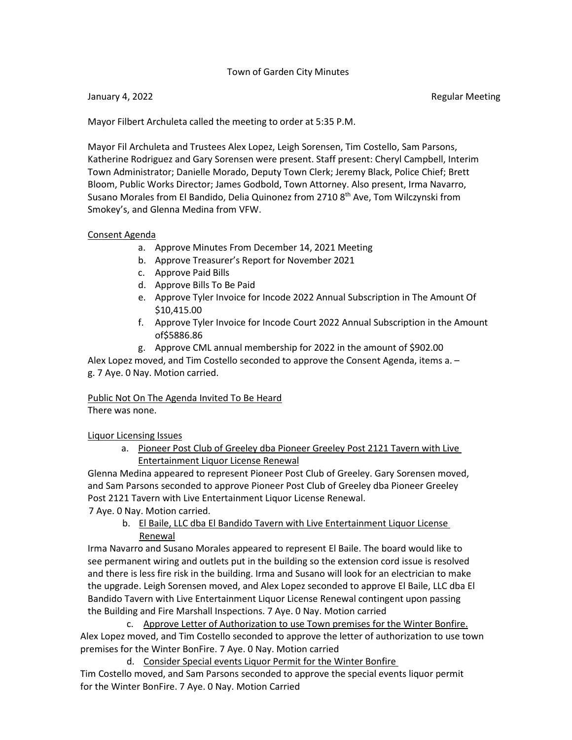## Town of Garden City Minutes

Mayor Filbert Archuleta called the meeting to order at 5:35 P.M.

Mayor Fil Archuleta and Trustees Alex Lopez, Leigh Sorensen, Tim Costello, Sam Parsons, Katherine Rodriguez and Gary Sorensen were present. Staff present: Cheryl Campbell, Interim Town Administrator; Danielle Morado, Deputy Town Clerk; Jeremy Black, Police Chief; Brett Bloom, Public Works Director; James Godbold, Town Attorney. Also present, Irma Navarro, Susano Morales from El Bandido, Delia Quinonez from 2710 8<sup>th</sup> Ave, Tom Wilczynski from Smokey's, and Glenna Medina from VFW.

#### Consent Agenda

- a. Approve Minutes From December 14, 2021 Meeting
- b. Approve Treasurer's Report for November 2021
- c. Approve Paid Bills
- d. Approve Bills To Be Paid
- e. Approve Tyler Invoice for Incode 2022 Annual Subscription in The Amount Of \$10,415.00
- f. Approve Tyler Invoice for Incode Court 2022 Annual Subscription in the Amount of\$5886.86
- g. Approve CML annual membership for 2022 in the amount of \$902.00

Alex Lopez moved, and Tim Costello seconded to approve the Consent Agenda, items a. – g. 7 Aye. 0 Nay. Motion carried.

# Public Not On The Agenda Invited To Be Heard

There was none.

Liquor Licensing Issues

a. Pioneer Post Club of Greeley dba Pioneer Greeley Post 2121 Tavern with Live Entertainment Liquor License Renewal

Glenna Medina appeared to represent Pioneer Post Club of Greeley. Gary Sorensen moved, and Sam Parsons seconded to approve Pioneer Post Club of Greeley dba Pioneer Greeley Post 2121 Tavern with Live Entertainment Liquor License Renewal.

7 Aye. 0 Nay. Motion carried.

b. El Baile, LLC dba El Bandido Tavern with Live Entertainment Liquor License Renewal

Irma Navarro and Susano Morales appeared to represent El Baile. The board would like to see permanent wiring and outlets put in the building so the extension cord issue is resolved and there is less fire risk in the building. Irma and Susano will look for an electrician to make the upgrade. Leigh Sorensen moved, and Alex Lopez seconded to approve El Baile, LLC dba El Bandido Tavern with Live Entertainment Liquor License Renewal contingent upon passing the Building and Fire Marshall Inspections. 7 Aye. 0 Nay. Motion carried

c. Approve Letter of Authorization to use Town premises for the Winter Bonfire. Alex Lopez moved, and Tim Costello seconded to approve the letter of authorization to use town premises for the Winter BonFire. 7 Aye. 0 Nay. Motion carried

d. Consider Special events Liquor Permit for the Winter Bonfire Tim Costello moved, and Sam Parsons seconded to approve the special events liquor permit for the Winter BonFire. 7 Aye. 0 Nay. Motion Carried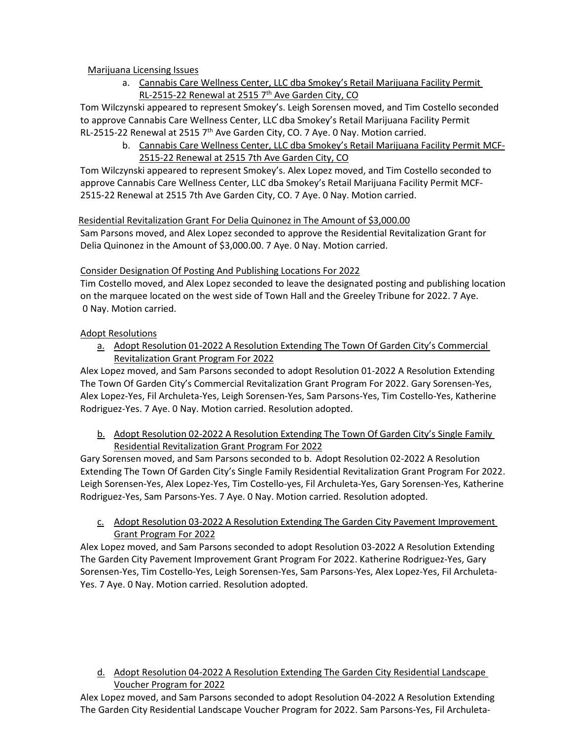# Marijuana Licensing Issues

a. Cannabis Care Wellness Center, LLC dba Smokey's Retail Marijuana Facility Permit RL-2515-22 Renewal at 2515  $7<sup>th</sup>$  Ave Garden City, CO

Tom Wilczynski appeared to represent Smokey's. Leigh Sorensen moved, and Tim Costello seconded to approve Cannabis Care Wellness Center, LLC dba Smokey's Retail Marijuana Facility Permit RL-2515-22 Renewal at 2515 7th Ave Garden City, CO. 7 Aye. 0 Nay. Motion carried.

b. Cannabis Care Wellness Center, LLC dba Smokey's Retail Marijuana Facility Permit MCF-2515-22 Renewal at 2515 7th Ave Garden City, CO

Tom Wilczynski appeared to represent Smokey's. Alex Lopez moved, and Tim Costello seconded to approve Cannabis Care Wellness Center, LLC dba Smokey's Retail Marijuana Facility Permit MCF-2515-22 Renewal at 2515 7th Ave Garden City, CO. 7 Aye. 0 Nay. Motion carried.

## Residential Revitalization Grant For Delia Quinonez in The Amount of \$3,000.00

Sam Parsons moved, and Alex Lopez seconded to approve the Residential Revitalization Grant for Delia Quinonez in the Amount of \$3,000.00. 7 Aye. 0 Nay. Motion carried.

## Consider Designation Of Posting And Publishing Locations For 2022

Tim Costello moved, and Alex Lopez seconded to leave the designated posting and publishing location on the marquee located on the west side of Town Hall and the Greeley Tribune for 2022. 7 Aye. 0 Nay. Motion carried.

# Adopt Resolutions

a. Adopt Resolution 01-2022 A Resolution Extending The Town Of Garden City's Commercial Revitalization Grant Program For 2022

Alex Lopez moved, and Sam Parsons seconded to adopt Resolution 01-2022 A Resolution Extending The Town Of Garden City's Commercial Revitalization Grant Program For 2022. Gary Sorensen-Yes, Alex Lopez-Yes, Fil Archuleta-Yes, Leigh Sorensen-Yes, Sam Parsons-Yes, Tim Costello-Yes, Katherine Rodriguez-Yes. 7 Aye. 0 Nay. Motion carried. Resolution adopted.

b. Adopt Resolution 02-2022 A Resolution Extending The Town Of Garden City's Single Family Residential Revitalization Grant Program For 2022

Gary Sorensen moved, and Sam Parsons seconded to b. Adopt Resolution 02-2022 A Resolution Extending The Town Of Garden City's Single Family Residential Revitalization Grant Program For 2022. Leigh Sorensen-Yes, Alex Lopez-Yes, Tim Costello-yes, Fil Archuleta-Yes, Gary Sorensen-Yes, Katherine Rodriguez-Yes, Sam Parsons-Yes. 7 Aye. 0 Nay. Motion carried. Resolution adopted.

c. Adopt Resolution 03-2022 A Resolution Extending The Garden City Pavement Improvement Grant Program For 2022

Alex Lopez moved, and Sam Parsons seconded to adopt Resolution 03-2022 A Resolution Extending The Garden City Pavement Improvement Grant Program For 2022. Katherine Rodriguez-Yes, Gary Sorensen-Yes, Tim Costello-Yes, Leigh Sorensen-Yes, Sam Parsons-Yes, Alex Lopez-Yes, Fil Archuleta-Yes. 7 Aye. 0 Nay. Motion carried. Resolution adopted.

# d. Adopt Resolution 04-2022 A Resolution Extending The Garden City Residential Landscape Voucher Program for 2022

Alex Lopez moved, and Sam Parsons seconded to adopt Resolution 04-2022 A Resolution Extending The Garden City Residential Landscape Voucher Program for 2022. Sam Parsons-Yes, Fil Archuleta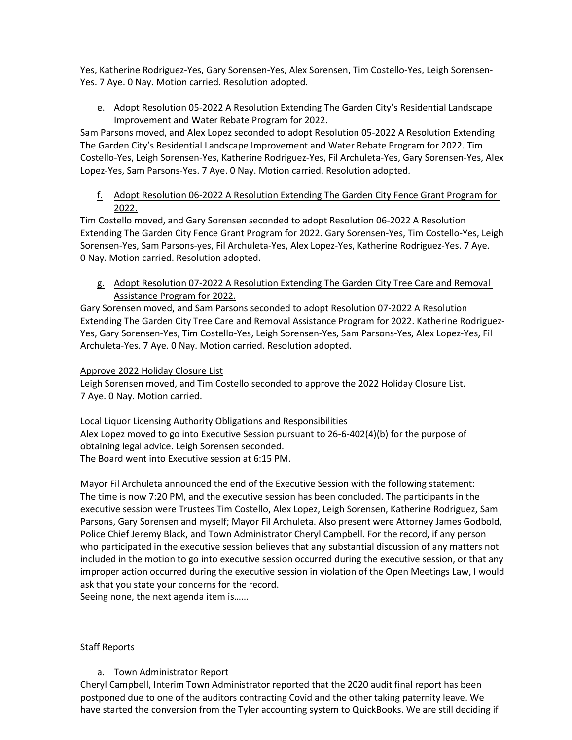Yes, Katherine Rodriguez-Yes, Gary Sorensen-Yes, Alex Sorensen, Tim Costello-Yes, Leigh Sorensen-Yes. 7 Aye. 0 Nay. Motion carried. Resolution adopted.

e. Adopt Resolution 05-2022 A Resolution Extending The Garden City's Residential Landscape Improvement and Water Rebate Program for 2022.

Sam Parsons moved, and Alex Lopez seconded to adopt Resolution 05-2022 A Resolution Extending The Garden City's Residential Landscape Improvement and Water Rebate Program for 2022. Tim Costello-Yes, Leigh Sorensen-Yes, Katherine Rodriguez-Yes, Fil Archuleta-Yes, Gary Sorensen-Yes, Alex Lopez-Yes, Sam Parsons-Yes. 7 Aye. 0 Nay. Motion carried. Resolution adopted.

f. Adopt Resolution 06-2022 A Resolution Extending The Garden City Fence Grant Program for 2022.

Tim Costello moved, and Gary Sorensen seconded to adopt Resolution 06-2022 A Resolution Extending The Garden City Fence Grant Program for 2022. Gary Sorensen-Yes, Tim Costello-Yes, Leigh Sorensen-Yes, Sam Parsons-yes, Fil Archuleta-Yes, Alex Lopez-Yes, Katherine Rodriguez-Yes. 7 Aye. 0 Nay. Motion carried. Resolution adopted.

g. Adopt Resolution 07-2022 A Resolution Extending The Garden City Tree Care and Removal Assistance Program for 2022.

Gary Sorensen moved, and Sam Parsons seconded to adopt Resolution 07-2022 A Resolution Extending The Garden City Tree Care and Removal Assistance Program for 2022. Katherine Rodriguez-Yes, Gary Sorensen-Yes, Tim Costello-Yes, Leigh Sorensen-Yes, Sam Parsons-Yes, Alex Lopez-Yes, Fil Archuleta-Yes. 7 Aye. 0 Nay. Motion carried. Resolution adopted.

## Approve 2022 Holiday Closure List

Leigh Sorensen moved, and Tim Costello seconded to approve the 2022 Holiday Closure List. 7 Aye. 0 Nay. Motion carried.

Local Liquor Licensing Authority Obligations and Responsibilities

Alex Lopez moved to go into Executive Session pursuant to 26-6-402(4)(b) for the purpose of obtaining legal advice. Leigh Sorensen seconded.

The Board went into Executive session at 6:15 PM.

Mayor Fil Archuleta announced the end of the Executive Session with the following statement: The time is now 7:20 PM, and the executive session has been concluded. The participants in the executive session were Trustees Tim Costello, Alex Lopez, Leigh Sorensen, Katherine Rodriguez, Sam Parsons, Gary Sorensen and myself; Mayor Fil Archuleta. Also present were Attorney James Godbold, Police Chief Jeremy Black, and Town Administrator Cheryl Campbell. For the record, if any person who participated in the executive session believes that any substantial discussion of any matters not included in the motion to go into executive session occurred during the executive session, or that any improper action occurred during the executive session in violation of the Open Meetings Law, I would ask that you state your concerns for the record.

Seeing none, the next agenda item is……

## Staff Reports

# a. Town Administrator Report

Cheryl Campbell, Interim Town Administrator reported that the 2020 audit final report has been postponed due to one of the auditors contracting Covid and the other taking paternity leave. We have started the conversion from the Tyler accounting system to QuickBooks. We are still deciding if